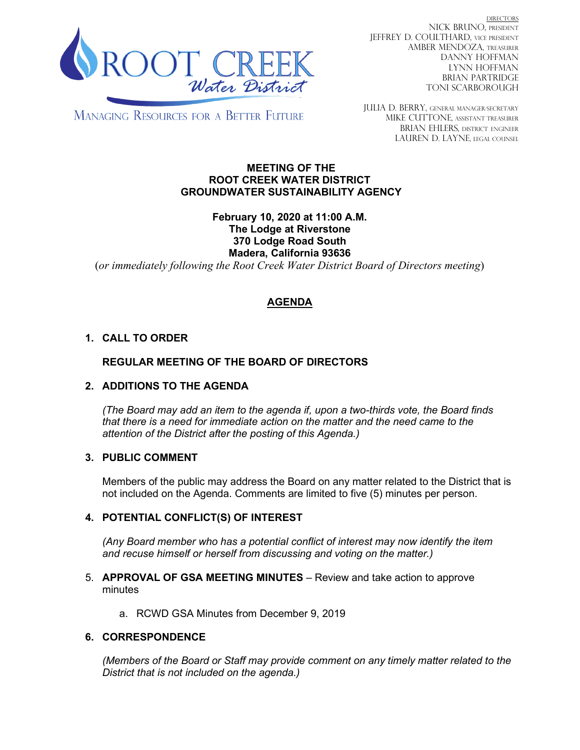

DIRECTORS NICK BRUNO, PRESIDENT JEFFREY D. COULTHARD, Vice President AMBER MENDOZA, TREASURER DANNY HOFFMAN LYNN HOFFMAN BRIAN PARTRIDGE TONI SCARBOROUGH

**MANAGING RESOURCES FOR A BETTER FUTURE** 

JULIA D. BERRY, GENERAL MANAGER/secretary MIKE CUTTONE, Assistant treasurer BRIAN EHLERS, DISTRICT ENGINEER LAUREN D. LAYNE, LEGAL COUNSEL

#### **MEETING OF THE ROOT CREEK WATER DISTRICT GROUNDWATER SUSTAINABILITY AGENCY**

### **February 10, 2020 at 11:00 A.M. The Lodge at Riverstone 370 Lodge Road South Madera, California 93636**

(*or immediately following the Root Creek Water District Board of Directors meeting*)

# **AGENDA**

# **1. CALL TO ORDER**

# **REGULAR MEETING OF THE BOARD OF DIRECTORS**

#### **2. ADDITIONS TO THE AGENDA**

*(The Board may add an item to the agenda if, upon a two-thirds vote, the Board finds that there is a need for immediate action on the matter and the need came to the attention of the District after the posting of this Agenda.)*

#### **3. PUBLIC COMMENT**

Members of the public may address the Board on any matter related to the District that is not included on the Agenda. Comments are limited to five (5) minutes per person.

#### **4. POTENTIAL CONFLICT(S) OF INTEREST**

*(Any Board member who has a potential conflict of interest may now identify the item and recuse himself or herself from discussing and voting on the matter.)*

#### 5. **APPROVAL OF GSA MEETING MINUTES** – Review and take action to approve minutes

a. RCWD GSA Minutes from December 9, 2019

#### **6. CORRESPONDENCE**

*(Members of the Board or Staff may provide comment on any timely matter related to the District that is not included on the agenda.)*